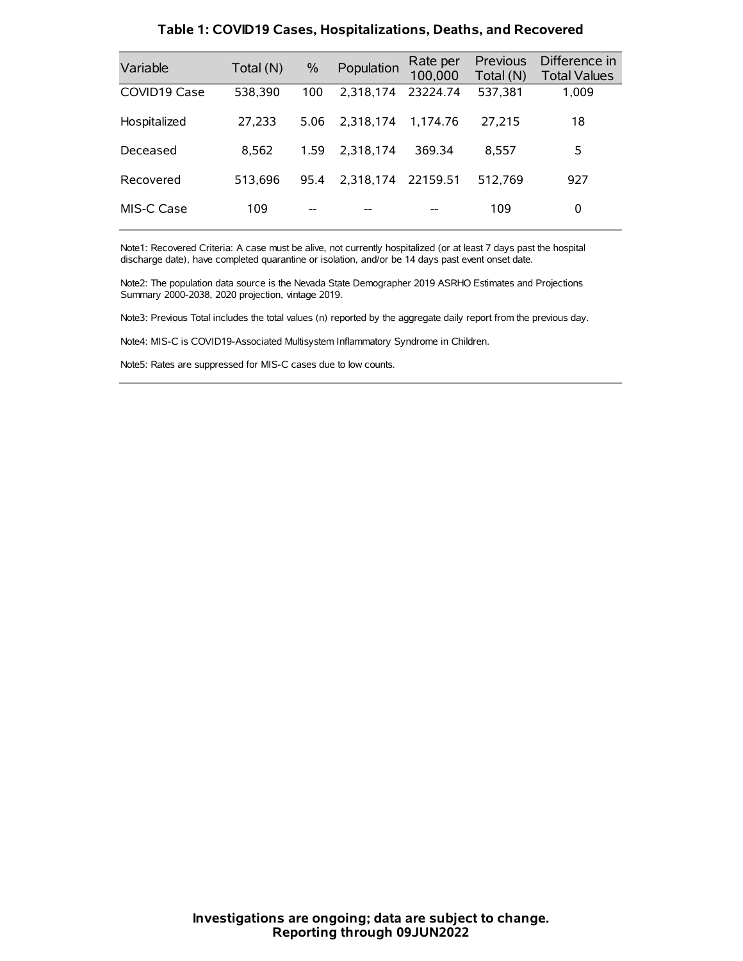| Variable     | Total (N) | $\frac{0}{0}$ | Population         | Rate per<br>100,000 | Previous<br>Total (N) | Difference in<br><b>Total Values</b> |
|--------------|-----------|---------------|--------------------|---------------------|-----------------------|--------------------------------------|
| COVID19 Case | 538,390   | 100           | 2,318,174          | 23224.74            | 537,381               | 1,009                                |
| Hospitalized | 27,233    | 5.06          | 2.318.174          | 1.174.76            | 27,215                | 18                                   |
| Deceased     | 8.562     | 1.59          | 2.318.174          | 369.34              | 8.557                 | 5                                    |
| Recovered    | 513.696   | 95.4          | 2.318.174 22159.51 |                     | 512.769               | 927                                  |
| MIS-C Case   | 109       | --            |                    |                     | 109                   | 0                                    |

#### **Table 1: COVID19 Cases, Hospitalizations, Deaths, and Recovered**

Note1: Recovered Criteria: A case must be alive, not currently hospitalized (or at least 7 days past the hospital discharge date), have completed quarantine or isolation, and/or be 14 days past event onset date.

Note2: The population data source is the Nevada State Demographer 2019 ASRHO Estimates and Projections Summary 2000-2038, 2020 projection, vintage 2019.

Note3: Previous Total includes the total values (n) reported by the aggregate daily report from the previous day.

Note4: MIS-C is COVID19-Associated Multisystem Inflammatory Syndrome in Children.

Note5: Rates are suppressed for MIS-C cases due to low counts.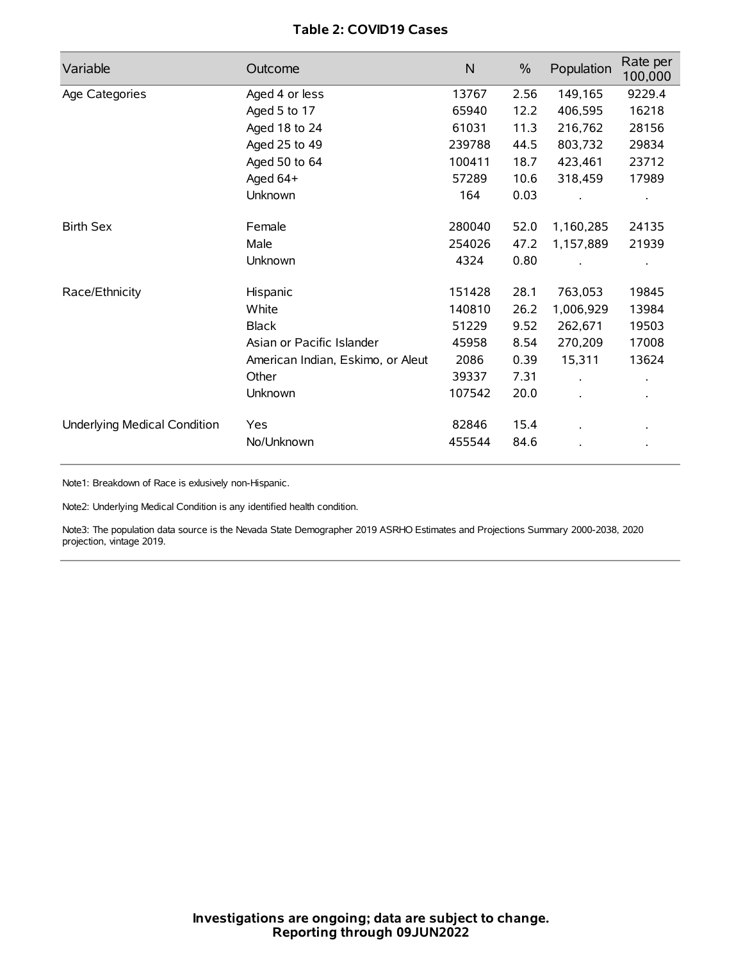# **Table 2: COVID19 Cases**

| Variable                     | Outcome                           | $\mathsf{N}$ | $\%$ | Population | Rate per<br>100,000 |
|------------------------------|-----------------------------------|--------------|------|------------|---------------------|
| Age Categories               | Aged 4 or less                    | 13767        | 2.56 | 149,165    | 9229.4              |
|                              | Aged 5 to 17                      | 65940        | 12.2 | 406,595    | 16218               |
|                              | Aged 18 to 24                     | 61031        | 11.3 | 216,762    | 28156               |
|                              | Aged 25 to 49                     | 239788       | 44.5 | 803,732    | 29834               |
|                              | Aged 50 to 64                     | 100411       | 18.7 | 423,461    | 23712               |
|                              | Aged 64+                          | 57289        | 10.6 | 318,459    | 17989               |
|                              | Unknown                           | 164          | 0.03 |            |                     |
| <b>Birth Sex</b>             | Female                            | 280040       | 52.0 | 1,160,285  | 24135               |
|                              | Male                              | 254026       | 47.2 | 1,157,889  | 21939               |
|                              | Unknown                           | 4324         | 0.80 |            |                     |
| Race/Ethnicity               | Hispanic                          | 151428       | 28.1 | 763,053    | 19845               |
|                              | White                             | 140810       | 26.2 | 1,006,929  | 13984               |
|                              | <b>Black</b>                      | 51229        | 9.52 | 262,671    | 19503               |
|                              | Asian or Pacific Islander         | 45958        | 8.54 | 270,209    | 17008               |
|                              | American Indian, Eskimo, or Aleut | 2086         | 0.39 | 15,311     | 13624               |
|                              | Other                             | 39337        | 7.31 |            |                     |
|                              | <b>Unknown</b>                    | 107542       | 20.0 | $\cdot$    |                     |
| Underlying Medical Condition | Yes                               | 82846        | 15.4 |            |                     |
|                              | No/Unknown                        | 455544       | 84.6 |            |                     |

Note1: Breakdown of Race is exlusively non-Hispanic.

Note2: Underlying Medical Condition is any identified health condition.

Note3: The population data source is the Nevada State Demographer 2019 ASRHO Estimates and Projections Summary 2000-2038, 2020 projection, vintage 2019.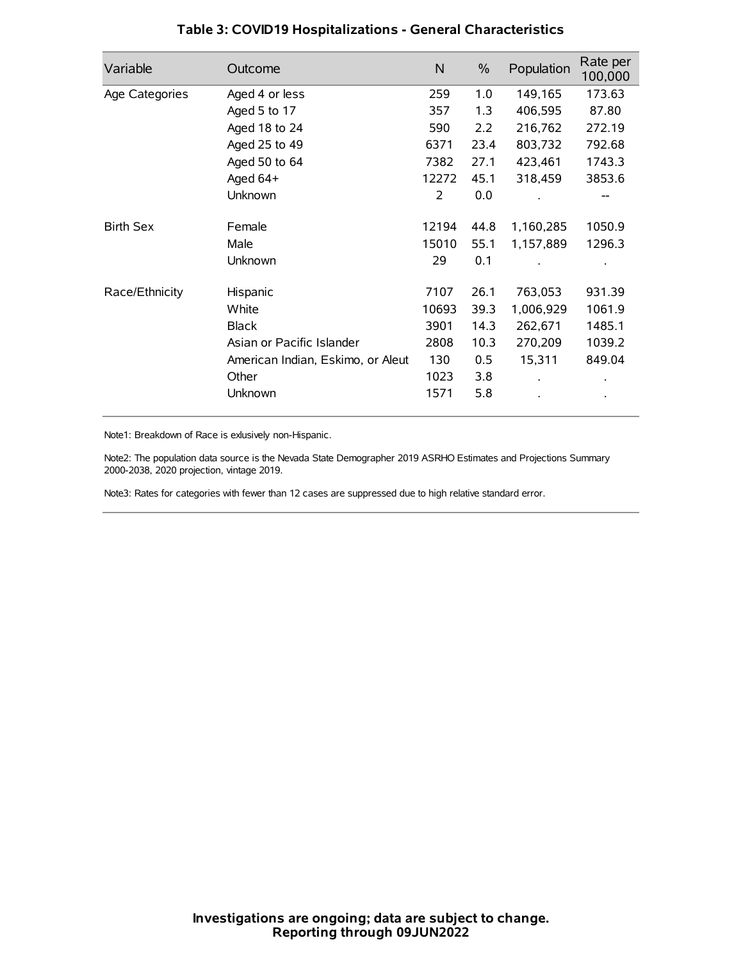| Variable         | Outcome                           | $\mathsf{N}$ | $\%$ | Population | Rate per<br>100,000 |
|------------------|-----------------------------------|--------------|------|------------|---------------------|
| Age Categories   | Aged 4 or less                    | 259          | 1.0  | 149,165    | 173.63              |
|                  | Aged 5 to 17                      | 357          | 1.3  | 406,595    | 87.80               |
|                  | Aged 18 to 24                     | 590          | 2.2  | 216,762    | 272.19              |
|                  | Aged 25 to 49                     | 6371         | 23.4 | 803,732    | 792.68              |
|                  | Aged 50 to 64                     | 7382         | 27.1 | 423,461    | 1743.3              |
|                  | Aged $64+$                        | 12272        | 45.1 | 318,459    | 3853.6              |
|                  | Unknown                           | 2            | 0.0  |            |                     |
| <b>Birth Sex</b> | Female                            | 12194        | 44.8 | 1,160,285  | 1050.9              |
|                  | Male                              | 15010        | 55.1 | 1,157,889  | 1296.3              |
|                  | Unknown                           | 29           | 0.1  |            |                     |
| Race/Ethnicity   | Hispanic                          | 7107         | 26.1 | 763,053    | 931.39              |
|                  | White                             | 10693        | 39.3 | 1,006,929  | 1061.9              |
|                  | <b>Black</b>                      | 3901         | 14.3 | 262,671    | 1485.1              |
|                  | Asian or Pacific Islander         | 2808         | 10.3 | 270,209    | 1039.2              |
|                  | American Indian, Eskimo, or Aleut | 130          | 0.5  | 15,311     | 849.04              |
|                  | Other                             | 1023         | 3.8  |            |                     |
|                  | Unknown                           | 1571         | 5.8  |            |                     |

# **Table 3: COVID19 Hospitalizations - General Characteristics**

Note1: Breakdown of Race is exlusively non-Hispanic.

Note2: The population data source is the Nevada State Demographer 2019 ASRHO Estimates and Projections Summary 2000-2038, 2020 projection, vintage 2019.

Note3: Rates for categories with fewer than 12 cases are suppressed due to high relative standard error.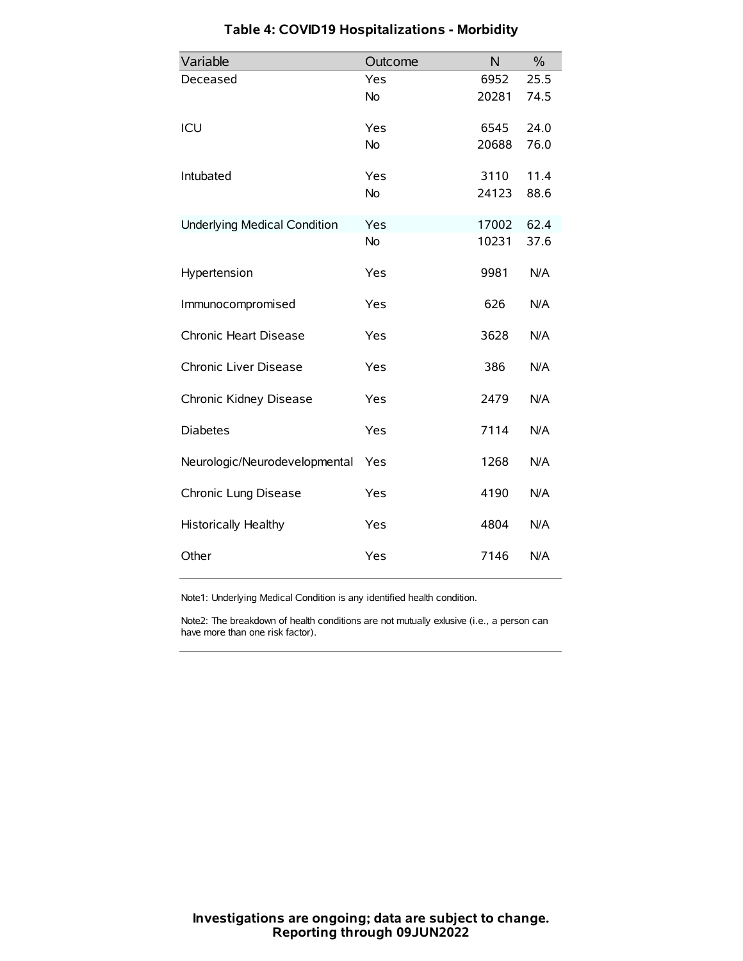| Variable                            | Outcome   | N     | $\frac{0}{0}$ |
|-------------------------------------|-----------|-------|---------------|
| Deceased                            | Yes       | 6952  | 25.5          |
|                                     | No        | 20281 | 74.5          |
| ICU                                 | Yes       | 6545  | 24.0          |
|                                     | <b>No</b> | 20688 | 76.0          |
| Intubated                           | Yes       | 3110  | 11.4          |
|                                     | No        | 24123 | 88.6          |
| <b>Underlying Medical Condition</b> | Yes       | 17002 | 62.4          |
|                                     | <b>No</b> | 10231 | 37.6          |
| Hypertension                        | Yes       | 9981  | N/A           |
| Immunocompromised                   | Yes       | 626   | N/A           |
| Chronic Heart Disease               | Yes       | 3628  | N/A           |
| Chronic Liver Disease               | Yes       | 386   | N/A           |
| Chronic Kidney Disease              | Yes       | 2479  | N/A           |
| <b>Diabetes</b>                     | Yes       | 7114  | N/A           |
| Neurologic/Neurodevelopmental       | Yes       | 1268  | N/A           |
| Chronic Lung Disease                | Yes       | 4190  | N/A           |
| Historically Healthy                | Yes       | 4804  | N/A           |
| Other                               | Yes       | 7146  | N/A           |

# **Table 4: COVID19 Hospitalizations - Morbidity**

Note1: Underlying Medical Condition is any identified health condition.

Note2: The breakdown of health conditions are not mutually exlusive (i.e., a person can have more than one risk factor).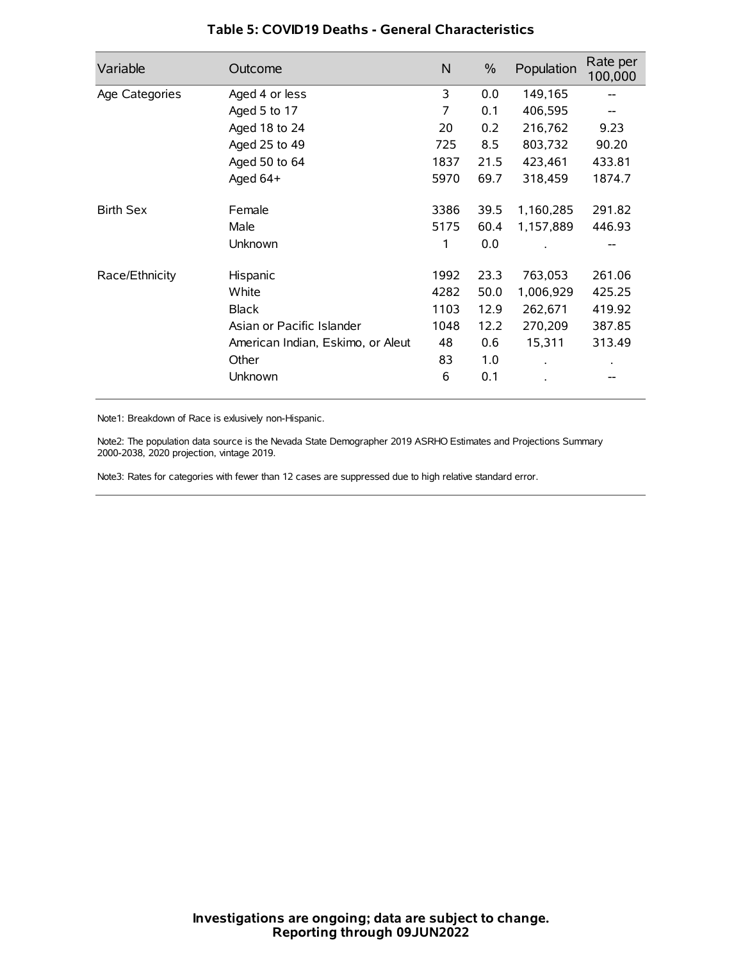| Variable         | Outcome                           | N    | $\frac{0}{0}$ | Population | Rate per<br>100,000 |
|------------------|-----------------------------------|------|---------------|------------|---------------------|
| Age Categories   | Aged 4 or less                    | 3    | 0.0           | 149,165    |                     |
|                  | Aged 5 to 17                      | 7    | 0.1           | 406,595    |                     |
|                  | Aged 18 to 24                     | 20   | 0.2           | 216,762    | 9.23                |
|                  | Aged 25 to 49                     | 725  | 8.5           | 803,732    | 90.20               |
|                  | Aged 50 to 64                     | 1837 | 21.5          | 423,461    | 433.81              |
|                  | Aged $64+$                        | 5970 | 69.7          | 318,459    | 1874.7              |
| <b>Birth Sex</b> | Female                            | 3386 | 39.5          | 1,160,285  | 291.82              |
|                  | Male                              | 5175 | 60.4          | 1,157,889  | 446.93              |
|                  | Unknown                           | 1    | 0.0           |            |                     |
| Race/Ethnicity   | Hispanic                          | 1992 | 23.3          | 763,053    | 261.06              |
|                  | White                             | 4282 | 50.0          | 1,006,929  | 425.25              |
|                  | <b>Black</b>                      | 1103 | 12.9          | 262,671    | 419.92              |
|                  | Asian or Pacific Islander         | 1048 | 12.2          | 270,209    | 387.85              |
|                  | American Indian, Eskimo, or Aleut | 48   | 0.6           | 15,311     | 313.49              |
|                  | Other                             | 83   | 1.0           |            |                     |
|                  | Unknown                           | 6    | 0.1           |            |                     |

### **Table 5: COVID19 Deaths - General Characteristics**

Note1: Breakdown of Race is exlusively non-Hispanic.

Note2: The population data source is the Nevada State Demographer 2019 ASRHO Estimates and Projections Summary 2000-2038, 2020 projection, vintage 2019.

Note3: Rates for categories with fewer than 12 cases are suppressed due to high relative standard error.